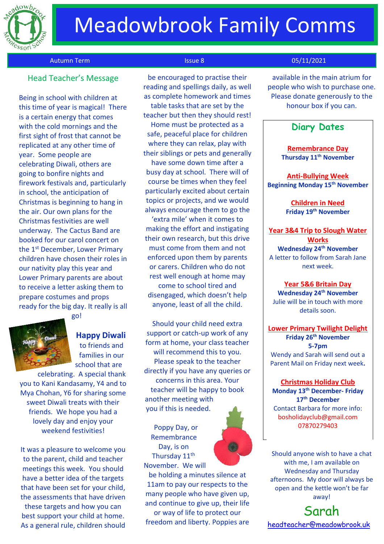

## Meadowbrook Family Comms

### Autumn Term Issue 8 05/11/2021

## Head Teacher's Message

Being in school with children at this time of year is magical! There is a certain energy that comes with the cold mornings and the first sight of frost that cannot be replicated at any other time of year. Some people are celebrating Diwali, others are going to bonfire nights and firework festivals and, particularly in school, the anticipation of Christmas is beginning to hang in the air. Our own plans for the Christmas festivities are well underway. The Cactus Band are booked for our carol concert on the 1<sup>st</sup> December, Lower Primary children have chosen their roles in our nativity play this year and Lower Primary parents are about to receive a letter asking them to prepare costumes and props ready for the big day. It really is all



go!

**Happy Diwali** to friends and families in our school that are

celebrating. A special thank you to Kani Kandasamy, Y4 and to Mya Chohan, Y6 for sharing some sweet Diwali treats with their friends. We hope you had a lovely day and enjoy your weekend festivities!

It was a pleasure to welcome you to the parent, child and teacher meetings this week. You should have a better idea of the targets that have been set for your child, the assessments that have driven

these targets and how you can best support your child at home. As a general rule, children should

be encouraged to practise their reading and spellings daily, as well as complete homework and times table tasks that are set by the teacher but then they should rest! Home must be protected as a safe, peaceful place for children where they can relax, play with their siblings or pets and generally have some down time after a busy day at school. There will of course be times when they feel particularly excited about certain topics or projects, and we would always encourage them to go the

'extra mile' when it comes to making the effort and instigating their own research, but this drive must come from them and not enforced upon them by parents or carers. Children who do not rest well enough at home may come to school tired and disengaged, which doesn't help anyone, least of all the child.

Should your child need extra support or catch-up work of any form at home, your class teacher will recommend this to you. Please speak to the teacher directly if you have any queries or concerns in this area. Your teacher will be happy to book another meeting with you if this is needed.

Poppy Day, or Remembrance Day, is on Thursday 11<sup>th</sup> November. We will



be holding a minutes silence at 11am to pay our respects to the many people who have given up, and continue to give up, their life or way of life to protect our freedom and liberty. Poppies are

available in the main atrium for people who wish to purchase one. Please donate generously to the honour box if you can.

## **Diary Dates**

**Remembrance Day Thursday 11th November**

**Anti-Bullying Week Beginning Monday 15th November**

> **Children in Need Friday 19th November**

**Year 3&4 Trip to Slough Water Works Wednesday 24th November** A letter to follow from Sarah Jane next week.

#### **Year 5&6 Britain Day**

**Wednesday 24th November** Julie will be in touch with more details soon.

**Lower Primary Twilight Delight Friday 26th November 5-7pm** Wendy and Sarah will send out a Parent Mail on Friday next week**.**

### **Christmas Holiday Club Monday 13th December- Friday 17th December** Contact Barbara for more info: bosholidayclub@gmail.com 07870279403

Should anyone wish to have a chat with me, I am available on Wednesday and Thursday afternoons. My door will always be open and the kettle won't be far away!

Sarah [headteacher@meadowbrook.uk](mailto:headteacher@meadowbrook.uk)